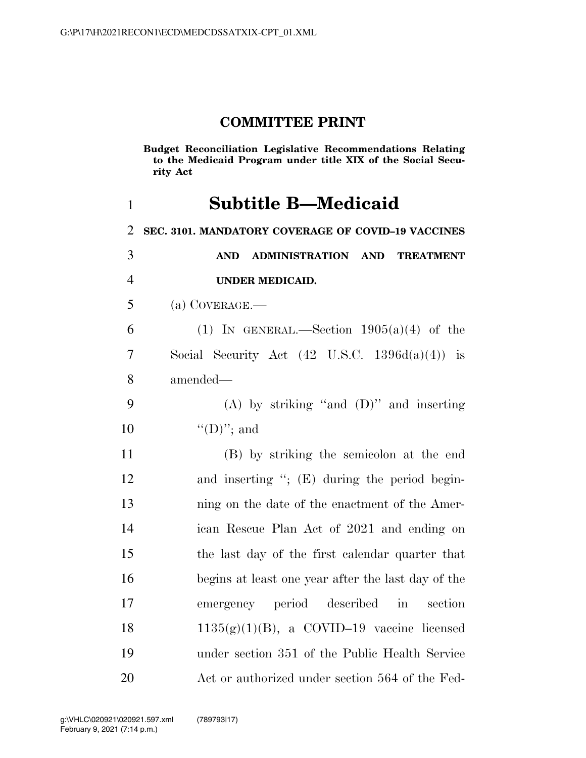### **COMMITTEE PRINT**

**Budget Reconciliation Legislative Recommendations Relating to the Medicaid Program under title XIX of the Social Security Act** 

# **Subtitle B—Medicaid**

 **SEC. 3101. MANDATORY COVERAGE OF COVID–19 VACCINES AND ADMINISTRATION AND TREATMENT UNDER MEDICAID.** 

(a) COVERAGE.—

6 (1) IN GENERAL.—Section  $1905(a)(4)$  of the Social Security Act (42 U.S.C. 1396d(a)(4)) is amended—

 (A) by striking ''and (D)'' and inserting 10  $((D)$ "; and

 (B) by striking the semicolon at the end and inserting ''; (E) during the period begin- ning on the date of the enactment of the Amer- ican Rescue Plan Act of 2021 and ending on the last day of the first calendar quarter that begins at least one year after the last day of the emergency period described in section  $1135(g)(1)(B)$ , a COVID–19 vaccine licensed under section 351 of the Public Health Service Act or authorized under section 564 of the Fed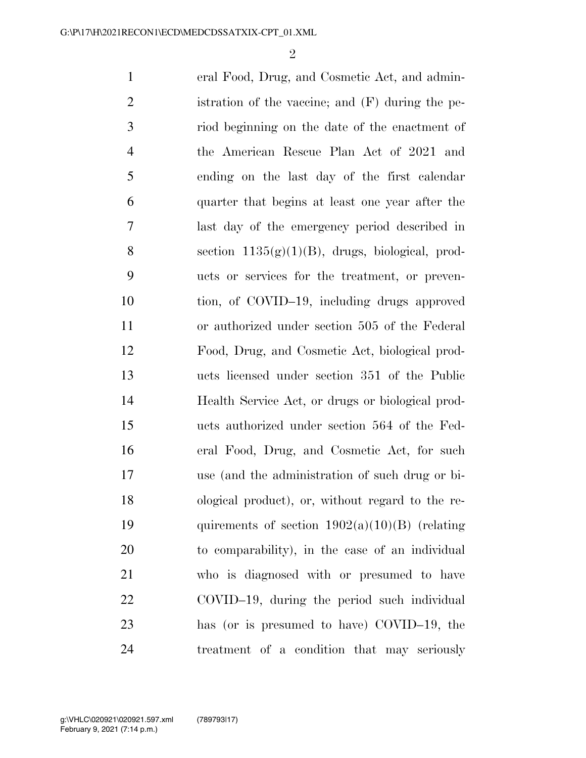$\mathfrak{D}$ 

 eral Food, Drug, and Cosmetic Act, and admin- istration of the vaccine; and (F) during the pe- riod beginning on the date of the enactment of the American Rescue Plan Act of 2021 and ending on the last day of the first calendar quarter that begins at least one year after the last day of the emergency period described in 8 section  $1135(g)(1)(B)$ , drugs, biological, prod- ucts or services for the treatment, or preven- tion, of COVID–19, including drugs approved or authorized under section 505 of the Federal Food, Drug, and Cosmetic Act, biological prod- ucts licensed under section 351 of the Public Health Service Act, or drugs or biological prod- ucts authorized under section 564 of the Fed- eral Food, Drug, and Cosmetic Act, for such use (and the administration of such drug or bi- ological product), or, without regard to the re-19 quirements of section  $1902(a)(10)(B)$  (relating to comparability), in the case of an individual who is diagnosed with or presumed to have COVID–19, during the period such individual has (or is presumed to have) COVID–19, the treatment of a condition that may seriously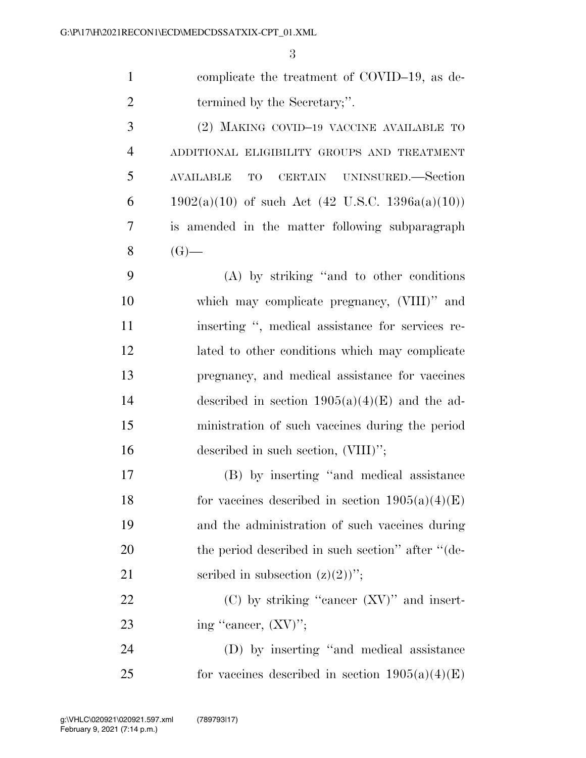| $\mathbf{1}$   | complicate the treatment of COVID-19, as de-         |
|----------------|------------------------------------------------------|
| $\overline{2}$ | termined by the Secretary;".                         |
| 3              | (2) MAKING COVID-19 VACCINE AVAILABLE TO             |
| $\overline{4}$ | ADDITIONAL ELIGIBILITY GROUPS AND TREATMENT          |
| 5              | CERTAIN UNINSURED.—Section<br><b>AVAILABLE</b><br>TO |
| 6              | $1902(a)(10)$ of such Act (42 U.S.C. 1396a(a)(10))   |
| 7              | is amended in the matter following subparagraph      |
| 8              | $(G)$ —                                              |
| 9              | (A) by striking "and to other conditions             |
| 10             | which may complicate pregnancy, (VIII)" and          |
| 11             | inserting ", medical assistance for services re-     |
| 12             | lated to other conditions which may complicate       |
| 13             | pregnancy, and medical assistance for vaccines       |
| 14             | described in section $1905(a)(4)(E)$ and the ad-     |
| 15             | ministration of such vaccines during the period      |
| 16             | described in such section, (VIII)";                  |
| 17             | (B) by inserting "and medical assistance             |
| 18             | for vaccines described in section $1905(a)(4)(E)$    |
| 19             | and the administration of such vaccines during       |
| 20             | the period described in such section" after "(de-    |
| 21             | scribed in subsection $(z)(2)$ ";                    |
| 22             | $(C)$ by striking "cancer $(XV)$ " and insert-       |
| 23             | ing "cancer, $(XV)$ ";                               |
| 24             | (D) by inserting "and medical assistance             |
| 25             | for vaccines described in section $1905(a)(4)(E)$    |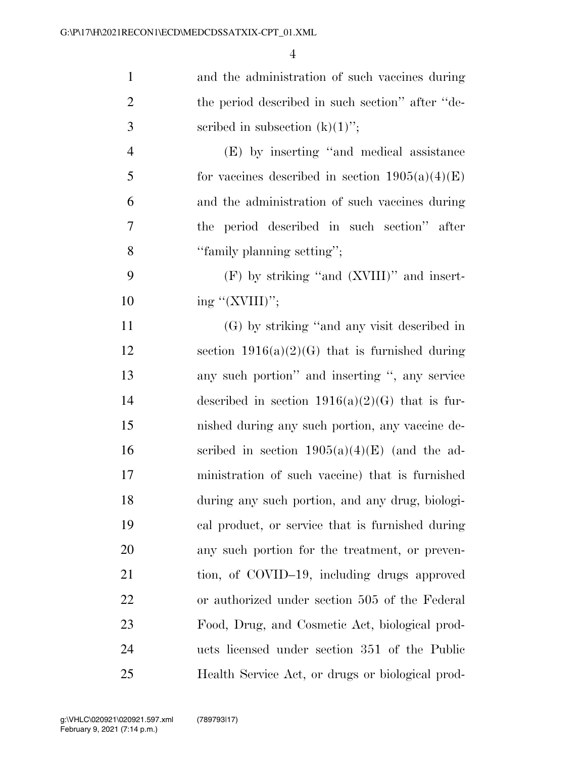| $\mathbf{1}$   | and the administration of such vaccines during    |
|----------------|---------------------------------------------------|
| $\overline{2}$ | the period described in such section" after "de-  |
| 3              | scribed in subsection $(k)(1)$ ";                 |
| $\overline{4}$ | (E) by inserting "and medical assistance          |
| 5              | for vaccines described in section $1905(a)(4)(E)$ |
| 6              | and the administration of such vaccines during    |
| 7              | the period described in such section" after       |
| 8              | "family planning setting";                        |
| 9              | $(F)$ by striking "and $(XVIII)$ " and insert-    |
| 10             | ing "(XVIII)";                                    |
| 11             | (G) by striking "and any visit described in       |
| 12             | section $1916(a)(2)(G)$ that is furnished during  |
| 13             | any such portion" and inserting ", any service    |
| 14             | described in section $1916(a)(2)(G)$ that is fur- |
| 15             | nished during any such portion, any vaccine de-   |
| 16             | scribed in section $1905(a)(4)(E)$ (and the ad-   |
| 17             | ministration of such vaccine) that is furnished   |
| 18             | during any such portion, and any drug, biologi-   |
| 19             | cal product, or service that is furnished during  |
| 20             | any such portion for the treatment, or preven-    |
| 21             | tion, of COVID-19, including drugs approved       |
| 22             | or authorized under section 505 of the Federal    |
| 23             | Food, Drug, and Cosmetic Act, biological prod-    |
| 24             | ucts licensed under section 351 of the Public     |
| 25             | Health Service Act, or drugs or biological prod-  |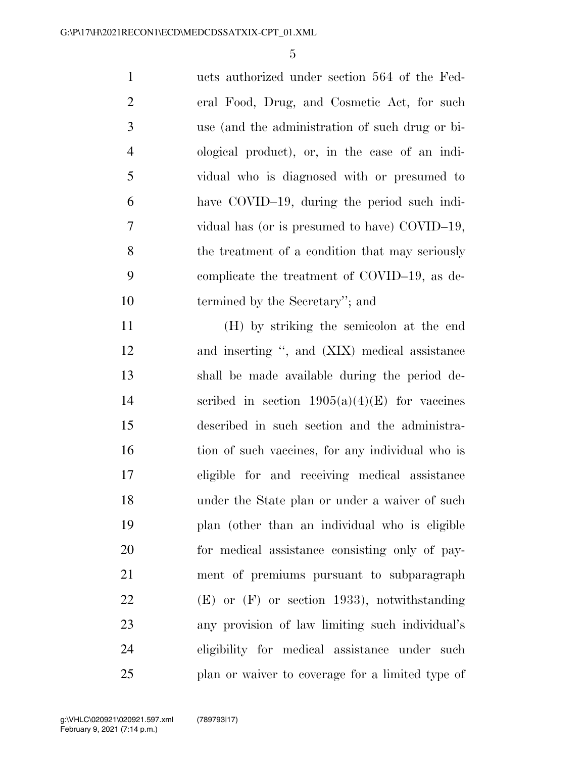| $\mathbf{1}$   | ucts authorized under section 564 of the Fed-   |
|----------------|-------------------------------------------------|
| 2              | eral Food, Drug, and Cosmetic Act, for such     |
| 3              | use (and the administration of such drug or bi- |
| $\overline{4}$ | ological product), or, in the case of an indi-  |
| $\mathfrak{S}$ | vidual who is diagnosed with or presumed to     |
| 6              | have COVID-19, during the period such indi-     |
| 7              | vidual has (or is presumed to have) COVID-19,   |
| 8              | the treatment of a condition that may seriously |
| 9              | complicate the treatment of COVID-19, as de-    |
| 10             | termined by the Secretary"; and                 |
|                |                                                 |

 (H) by striking the semicolon at the end and inserting '', and (XIX) medical assistance shall be made available during the period de-14 scribed in section  $1905(a)(4)(E)$  for vaccines described in such section and the administra-16 tion of such vaccines, for any individual who is eligible for and receiving medical assistance under the State plan or under a waiver of such plan (other than an individual who is eligible for medical assistance consisting only of pay- ment of premiums pursuant to subparagraph (E) or (F) or section 1933), notwithstanding any provision of law limiting such individual's eligibility for medical assistance under such plan or waiver to coverage for a limited type of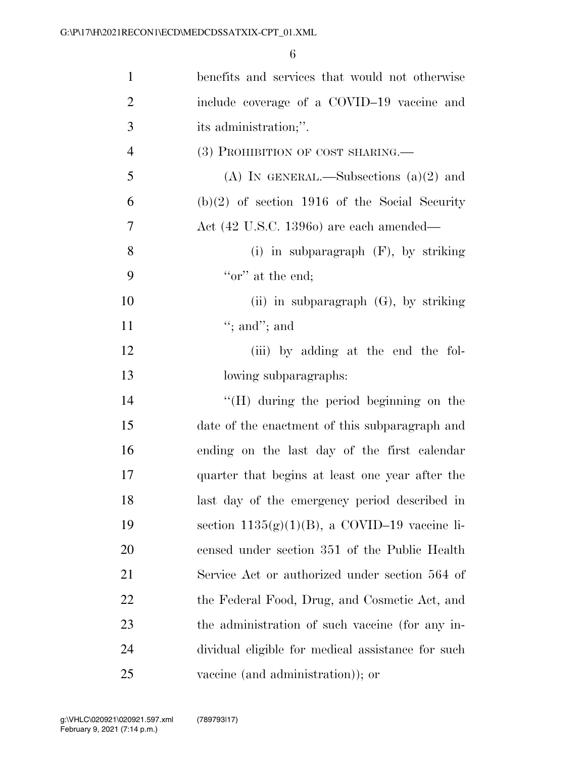| $\mathbf{1}$   | benefits and services that would not otherwise    |
|----------------|---------------------------------------------------|
| $\overline{2}$ | include coverage of a COVID-19 vaccine and        |
| 3              | its administration;".                             |
| $\overline{4}$ | (3) PROHIBITION OF COST SHARING.                  |
| 5              | (A) IN GENERAL.—Subsections $(a)(2)$ and          |
| 6              | $(b)(2)$ of section 1916 of the Social Security   |
| $\tau$         | Act (42 U.S.C. 13960) are each amended—           |
| 8              | (i) in subparagraph $(F)$ , by striking           |
| 9              | "or" at the end;                                  |
| 10             | (ii) in subparagraph $(G)$ , by striking          |
| 11             | "; and"; and                                      |
| 12             | (iii) by adding at the end the fol-               |
| 13             | lowing subparagraphs:                             |
| 14             | $\lq\lq (H)$ during the period beginning on the   |
| 15             | date of the enactment of this subparagraph and    |
| 16             | ending on the last day of the first calendar      |
| 17             | quarter that begins at least one year after the   |
| 18             | last day of the emergency period described in     |
| 19             | section $1135(g)(1)(B)$ , a COVID-19 vaccine li-  |
| 20             | censed under section 351 of the Public Health     |
| 21             | Service Act or authorized under section 564 of    |
| 22             | the Federal Food, Drug, and Cosmetic Act, and     |
| 23             | the administration of such vaccine (for any in-   |
| 24             | dividual eligible for medical assistance for such |
| 25             | vaccine (and administration)); or                 |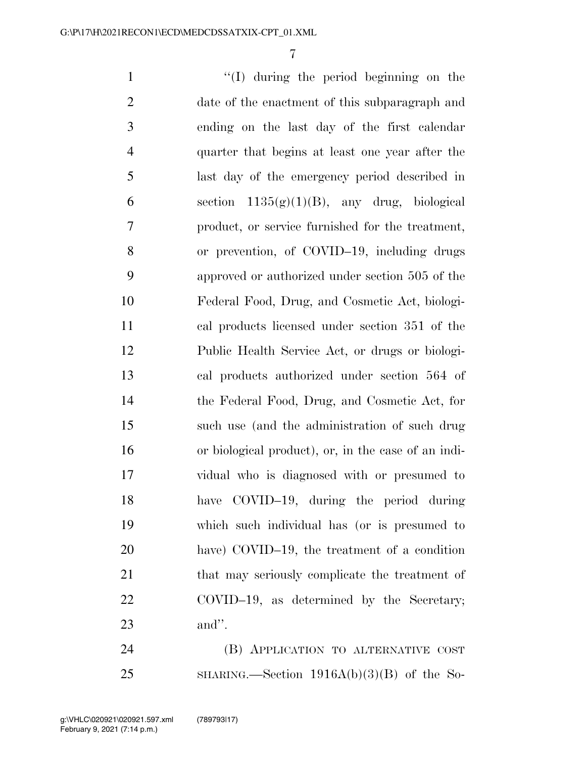''(I) during the period beginning on the date of the enactment of this subparagraph and ending on the last day of the first calendar quarter that begins at least one year after the last day of the emergency period described in 6 section  $1135(g)(1)(B)$ , any drug, biological product, or service furnished for the treatment, or prevention, of COVID–19, including drugs approved or authorized under section 505 of the Federal Food, Drug, and Cosmetic Act, biologi- cal products licensed under section 351 of the Public Health Service Act, or drugs or biologi- cal products authorized under section 564 of the Federal Food, Drug, and Cosmetic Act, for such use (and the administration of such drug or biological product), or, in the case of an indi- vidual who is diagnosed with or presumed to have COVID–19, during the period during which such individual has (or is presumed to have) COVID–19, the treatment of a condition 21 that may seriously complicate the treatment of COVID–19, as determined by the Secretary; and''.

 (B) APPLICATION TO ALTERNATIVE COST SHARING.—Section 1916A(b)(3)(B) of the So-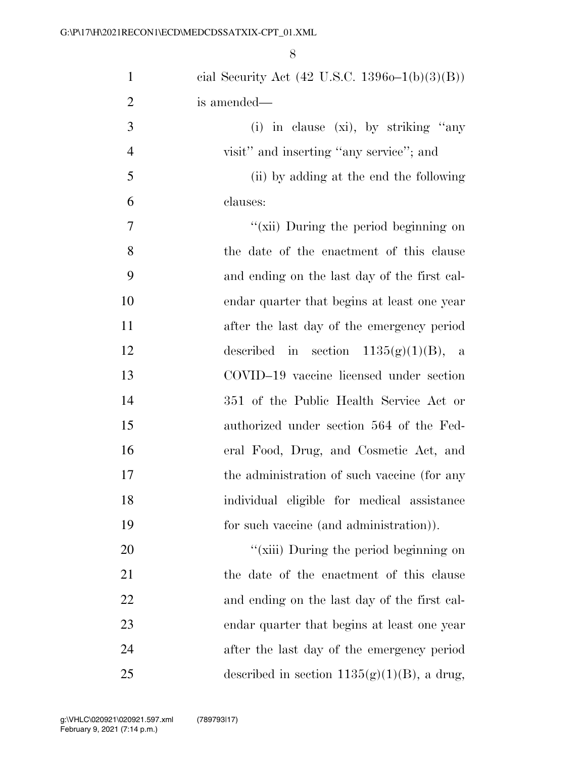| $\mathbf{1}$   | cial Security Act $(42 \text{ U.S.C. } 13960 - 1(b)(3)(B))$ |
|----------------|-------------------------------------------------------------|
| $\overline{2}$ | is amended—                                                 |
| 3              | (i) in clause (xi), by striking "any                        |
| $\overline{4}$ | visit" and inserting "any service"; and                     |
| 5              | (ii) by adding at the end the following                     |
| 6              | clauses:                                                    |
| 7              | "(xii) During the period beginning on                       |
| 8              | the date of the enactment of this clause                    |
| 9              | and ending on the last day of the first cal-                |
| 10             | endar quarter that begins at least one year                 |
| 11             | after the last day of the emergency period                  |
| 12             | described in section $1135(g)(1)(B)$ , a                    |
| 13             | COVID-19 vaccine licensed under section                     |
| 14             | 351 of the Public Health Service Act or                     |
| 15             | authorized under section 564 of the Fed-                    |
| 16             | eral Food, Drug, and Cosmetic Act, and                      |
| 17             | the administration of such vaccine (for any                 |
| 18             | individual eligible for medical assistance                  |
| 19             | for such vaccine (and administration)).                     |
| 20             | "(xiii) During the period beginning on                      |
| 21             | the date of the enactment of this clause                    |
| 22             | and ending on the last day of the first cal-                |
| 23             | endar quarter that begins at least one year                 |
| 24             | after the last day of the emergency period                  |
| 25             | described in section $1135(g)(1)(B)$ , a drug,              |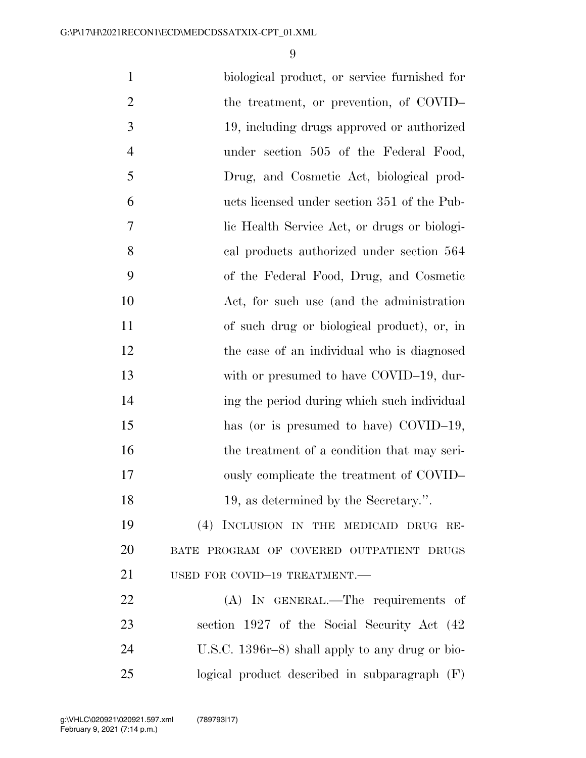biological product, or service furnished for 2 the treatment, or prevention, of COVID– 19, including drugs approved or authorized under section 505 of the Federal Food, Drug, and Cosmetic Act, biological prod- ucts licensed under section 351 of the Pub- lic Health Service Act, or drugs or biologi- cal products authorized under section 564 of the Federal Food, Drug, and Cosmetic Act, for such use (and the administration of such drug or biological product), or, in the case of an individual who is diagnosed 13 with or presumed to have COVID–19, dur- ing the period during which such individual 15 has (or is presumed to have) COVID–19, 16 the treatment of a condition that may seri- ously complicate the treatment of COVID– 18 19, as determined by the Secretary.". (4) INCLUSION IN THE MEDICAID DRUG RE- BATE PROGRAM OF COVERED OUTPATIENT DRUGS USED FOR COVID–19 TREATMENT.— 22 (A) IN GENERAL.—The requirements of section 1927 of the Social Security Act (42 U.S.C. 1396r–8) shall apply to any drug or bio-logical product described in subparagraph (F)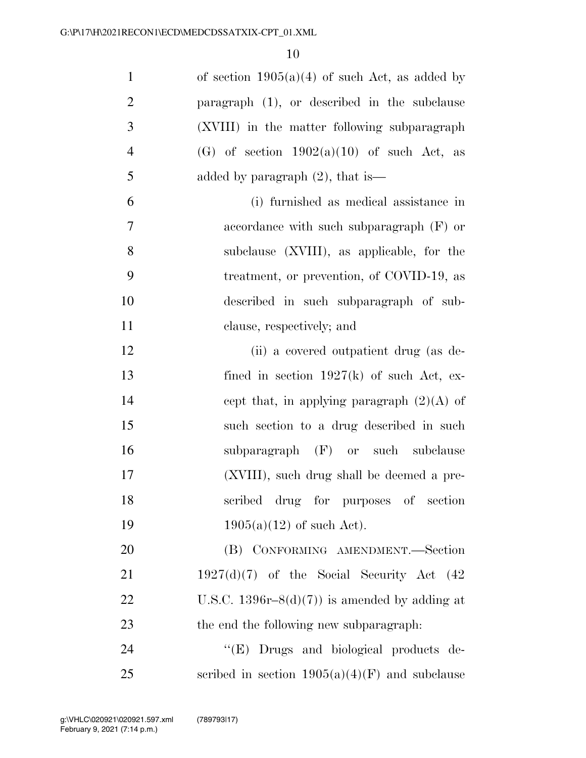| $\mathbf{1}$   | of section $1905(a)(4)$ of such Act, as added by |
|----------------|--------------------------------------------------|
| $\overline{2}$ | paragraph $(1)$ , or described in the subclause  |
| 3              | (XVIII) in the matter following subparagraph     |
| $\overline{4}$ | (G) of section $1902(a)(10)$ of such Act, as     |
| 5              | added by paragraph $(2)$ , that is—              |
| 6              | (i) furnished as medical assistance in           |
| $\overline{7}$ | accordance with such subparagraph $(F)$ or       |
| 8              | subclause (XVIII), as applicable, for the        |
| 9              | treatment, or prevention, of COVID-19, as        |
| 10             | described in such subparagraph of sub-           |
| 11             | clause, respectively; and                        |
| 12             | (ii) a covered outpatient drug (as de-           |
| 13             | fined in section $1927(k)$ of such Act, ex-      |
| 14             | cept that, in applying paragraph $(2)(A)$ of     |
| 15             | such section to a drug described in such         |
| 16             | subparagraph (F) or such subclause               |
| 17             | (XVIII), such drug shall be deemed a pre-        |
| 18             | scribed drug for purposes of section             |
| 19             | $1905(a)(12)$ of such Act).                      |
| 20             | (B) CONFORMING AMENDMENT.-Section                |
| 21             | $1927(d)(7)$ of the Social Security Act (42)     |
| 22             | U.S.C. 1396r-8 $(d)(7)$ is amended by adding at  |
| 23             | the end the following new subparagraph.          |
| 24             | "(E) Drugs and biological products de-           |
| 25             | scribed in section $1905(a)(4)(F)$ and subclause |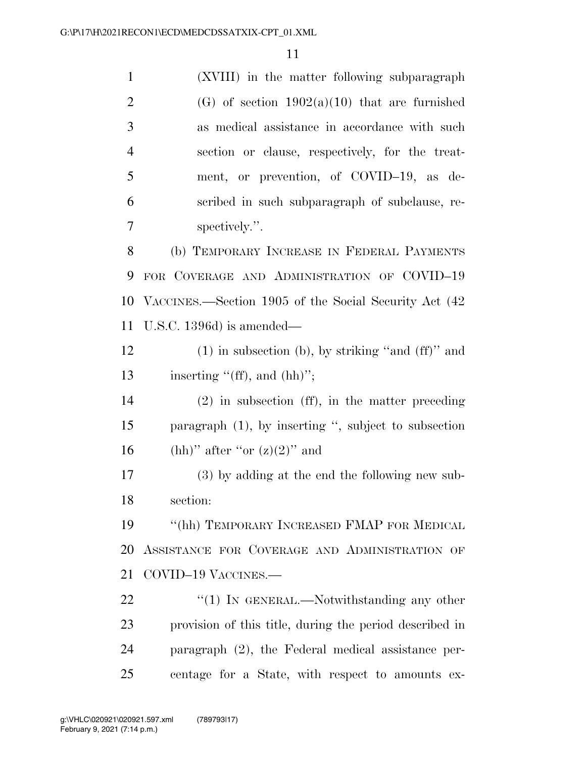| $\mathbf{1}$   | (XVIII) in the matter following subparagraph            |
|----------------|---------------------------------------------------------|
| $\overline{2}$ | (G) of section $1902(a)(10)$ that are furnished         |
| 3              | as medical assistance in accordance with such           |
| $\overline{4}$ | section or clause, respectively, for the treat-         |
| 5              | ment, or prevention, of COVID-19, as de-                |
| 6              | scribed in such subparagraph of subclause, re-          |
| 7              | spectively.".                                           |
| 8              | (b) TEMPORARY INCREASE IN FEDERAL PAYMENTS              |
| 9              | FOR COVERAGE AND ADMINISTRATION OF COVID-19             |
| 10             | VACCINES.—Section 1905 of the Social Security Act (42)  |
| 11             | U.S.C. 1396 $d$ ) is amended—                           |
| 12             | $(1)$ in subsection (b), by striking "and $(ff)$ " and  |
| 13             | inserting $"({\rm ff})$ , and $({\rm hh})"$ ;           |
| 14             | $(2)$ in subsection (ff), in the matter preceding       |
| 15             | paragraph $(1)$ , by inserting ", subject to subsection |
| 16             | (hh)" after "or $(z)(2)$ " and                          |
| 17             | (3) by adding at the end the following new sub-         |
| 18             | section:                                                |
| 19             | "(hh) TEMPORARY INCREASED FMAP FOR MEDICAL              |
| 20             | ASSISTANCE FOR COVERAGE AND ADMINISTRATION OF           |
| 21             | COVID-19 VACCINES.-                                     |
| 22             | " $(1)$ In GENERAL.—Notwithstanding any other           |
| 23             | provision of this title, during the period described in |
| 24             | paragraph $(2)$ , the Federal medical assistance per-   |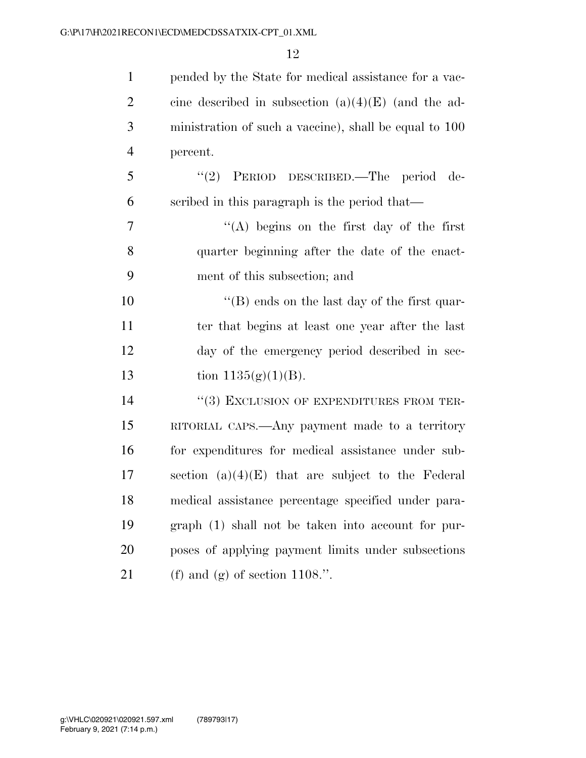| $\mathbf{1}$   | pended by the State for medical assistance for a vac-  |
|----------------|--------------------------------------------------------|
| $\overline{2}$ | cine described in subsection $(a)(4)(E)$ (and the ad-  |
| 3              | ministration of such a vaccine), shall be equal to 100 |
| $\overline{4}$ | percent.                                               |
| 5              | "(2) PERIOD DESCRIBED.—The period de-                  |
| 6              | scribed in this paragraph is the period that—          |
| $\tau$         | "(A) begins on the first day of the first              |
| 8              | quarter beginning after the date of the enact-         |
| 9              | ment of this subsection; and                           |
| 10             | $\lq$ (B) ends on the last day of the first quar-      |
| 11             | ter that begins at least one year after the last       |
| 12             | day of the emergency period described in sec-          |
| 13             | tion $1135(g)(1)(B)$ .                                 |
| 14             | "(3) EXCLUSION OF EXPENDITURES FROM TER-               |
| 15             | RITORIAL CAPS.—Any payment made to a territory         |
| 16             | for expenditures for medical assistance under sub-     |
| 17             | section $(a)(4)(E)$ that are subject to the Federal    |
| 18             | medical assistance percentage specified under para-    |
| 19             | graph (1) shall not be taken into account for pur-     |
| 20             | poses of applying payment limits under subsections     |
| 21             | (f) and (g) of section $1108$ .".                      |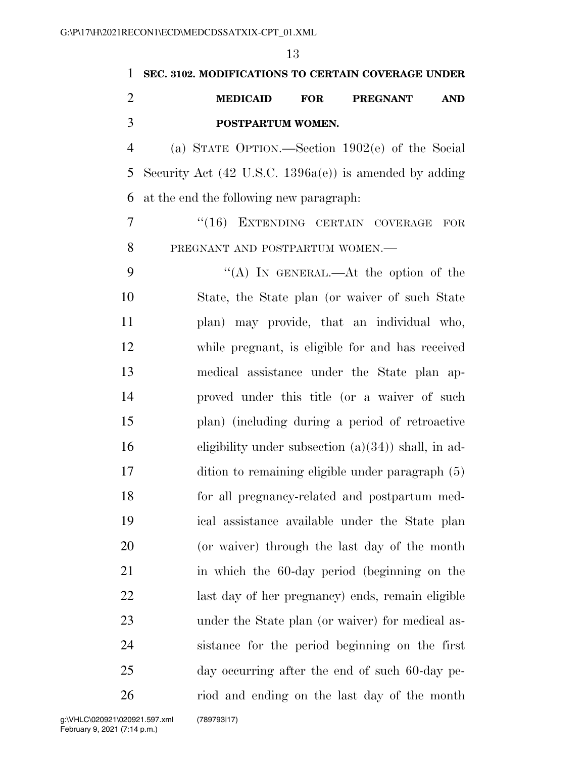**SEC. 3102. MODIFICATIONS TO CERTAIN COVERAGE UNDER MEDICAID FOR PREGNANT AND POSTPARTUM WOMEN.**  (a) STATE OPTION.—Section 1902(e) of the Social Security Act (42 U.S.C. 1396a(e)) is amended by adding at the end the following new paragraph: ''(16) EXTENDING CERTAIN COVERAGE FOR PREGNANT AND POSTPARTUM WOMEN.— ''(A) IN GENERAL.—At the option of the State, the State plan (or waiver of such State plan) may provide, that an individual who, while pregnant, is eligible for and has received medical assistance under the State plan ap- proved under this title (or a waiver of such plan) (including during a period of retroactive eligibility under subsection (a)(34)) shall, in ad- dition to remaining eligible under paragraph (5) for all pregnancy-related and postpartum med- ical assistance available under the State plan (or waiver) through the last day of the month in which the 60-day period (beginning on the last day of her pregnancy) ends, remain eligible under the State plan (or waiver) for medical as- sistance for the period beginning on the first day occurring after the end of such 60-day pe-riod and ending on the last day of the month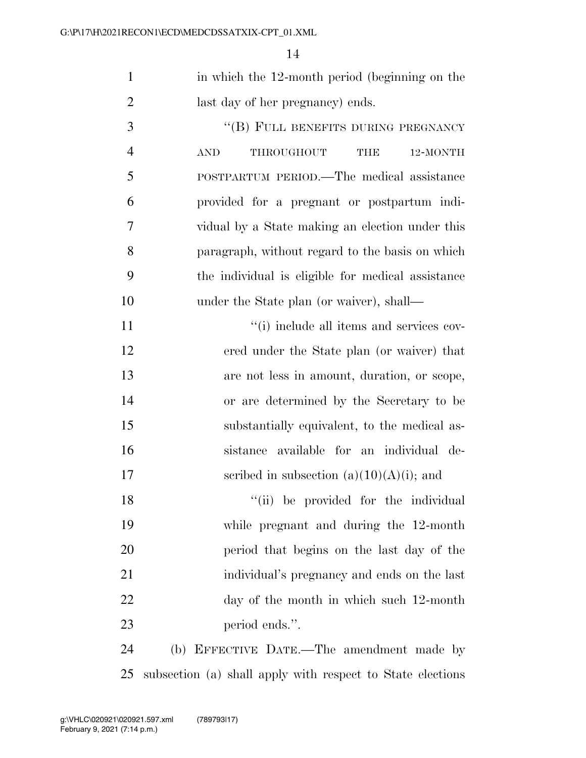|                | in which the 12-month period (beginning on the |
|----------------|------------------------------------------------|
| $\overline{2}$ | last day of her pregnancy) ends.               |

3 "(B) FULL BENEFITS DURING PREGNANCY AND THROUGHOUT THE 12-MONTH POSTPARTUM PERIOD.—The medical assistance provided for a pregnant or postpartum indi- vidual by a State making an election under this paragraph, without regard to the basis on which the individual is eligible for medical assistance 10 under the State plan (or waiver), shall—

 ''(i) include all items and services cov- ered under the State plan (or waiver) that are not less in amount, duration, or scope, or are determined by the Secretary to be substantially equivalent, to the medical as- sistance available for an individual de-17 seribed in subsection  $(a)(10)(A)(i)$ ; and

18 ''(ii) be provided for the individual while pregnant and during the 12-month period that begins on the last day of the individual's pregnancy and ends on the last day of the month in which such 12-month period ends.''.

 (b) EFFECTIVE DATE.—The amendment made by subsection (a) shall apply with respect to State elections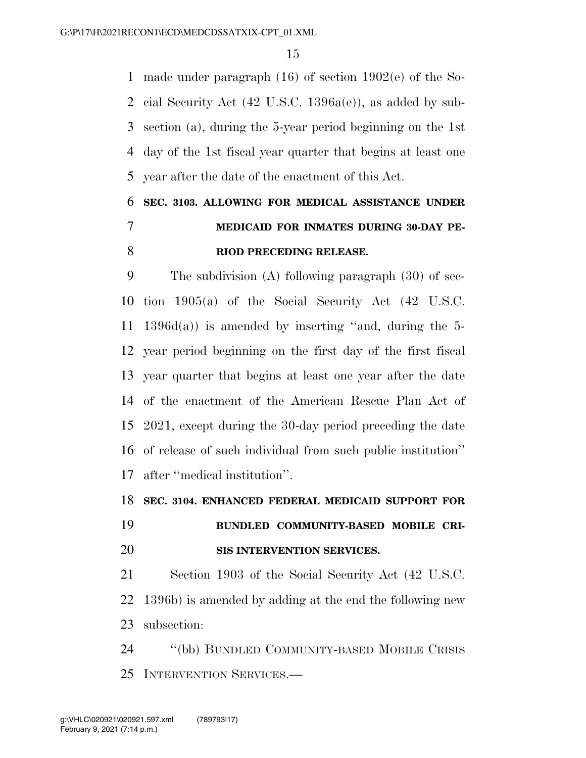made under paragraph (16) of section 1902(e) of the So- cial Security Act (42 U.S.C. 1396a(e)), as added by sub- section (a), during the 5-year period beginning on the 1st day of the 1st fiscal year quarter that begins at least one year after the date of the enactment of this Act.

## **SEC. 3103. ALLOWING FOR MEDICAL ASSISTANCE UNDER MEDICAID FOR INMATES DURING 30-DAY PE-RIOD PRECEDING RELEASE.**

 The subdivision (A) following paragraph (30) of sec- tion 1905(a) of the Social Security Act (42 U.S.C. 1396d(a)) is amended by inserting ''and, during the 5- year period beginning on the first day of the first fiscal year quarter that begins at least one year after the date of the enactment of the American Rescue Plan Act of 2021, except during the 30-day period preceding the date of release of such individual from such public institution'' after ''medical institution''.

#### **SEC. 3104. ENHANCED FEDERAL MEDICAID SUPPORT FOR**

## **BUNDLED COMMUNITY-BASED MOBILE CRI-SIS INTERVENTION SERVICES.**

 Section 1903 of the Social Security Act (42 U.S.C. 1396b) is amended by adding at the end the following new subsection:

 ''(bb) BUNDLED COMMUNITY-BASED MOBILE CRISIS INTERVENTION SERVICES.—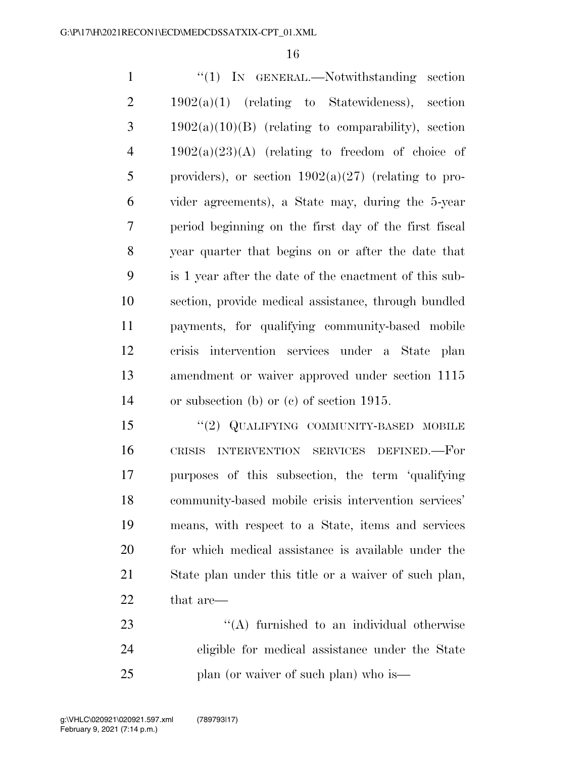1 "'(1) IN GENERAL.—Notwithstanding section  $2 \t 1902(a)(1)$  (relating to Statewideness), section  $3 \t1902(a)(10)(B)$  (relating to comparability), section  $4 \qquad 1902(a)(23)(A)$  (relating to freedom of choice of 5 providers), or section  $1902(a)(27)$  (relating to pro- vider agreements), a State may, during the 5-year period beginning on the first day of the first fiscal year quarter that begins on or after the date that is 1 year after the date of the enactment of this sub- section, provide medical assistance, through bundled payments, for qualifying community-based mobile crisis intervention services under a State plan amendment or waiver approved under section 1115 or subsection (b) or (c) of section 1915.

15 "(2) QUALIFYING COMMUNITY-BASED MOBILE CRISIS INTERVENTION SERVICES DEFINED.—For purposes of this subsection, the term 'qualifying community-based mobile crisis intervention services' means, with respect to a State, items and services for which medical assistance is available under the State plan under this title or a waiver of such plan, that are—

23 ''(A) furnished to an individual otherwise eligible for medical assistance under the State plan (or waiver of such plan) who is—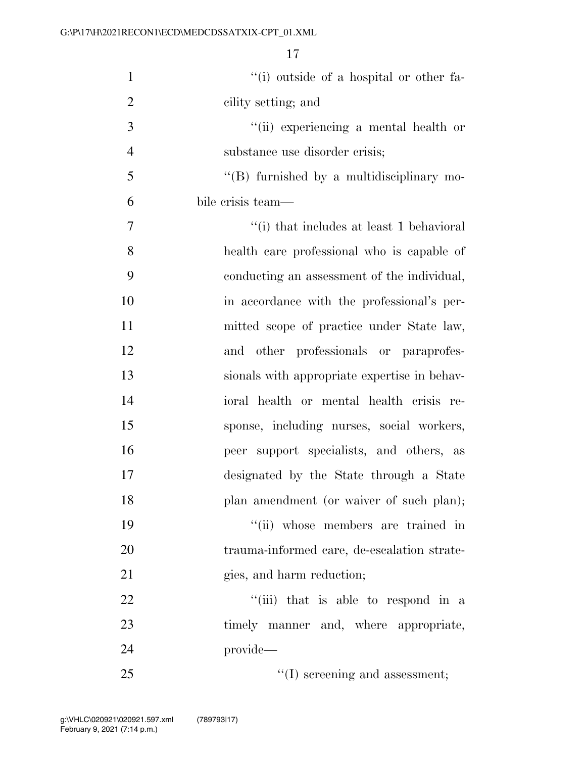| $\mathbf{1}$   | "(i) outside of a hospital or other fa-      |
|----------------|----------------------------------------------|
| $\overline{2}$ | cility setting; and                          |
| $\mathfrak{Z}$ | "(ii) experiencing a mental health or        |
| $\overline{4}$ | substance use disorder crisis;               |
| 5              | "(B) furnished by a multidisciplinary mo-    |
| 6              | bile crisis team—                            |
| 7              | "(i) that includes at least 1 behavioral     |
| 8              | health care professional who is capable of   |
| 9              | conducting an assessment of the individual,  |
| 10             | in accordance with the professional's per-   |
| 11             | mitted scope of practice under State law,    |
| 12             | and other professionals or paraprofes-       |
| 13             | sionals with appropriate expertise in behav- |
| 14             | ioral health or mental health crisis re-     |
| 15             | sponse, including nurses, social workers,    |
| 16             | peer support specialists, and others, as     |
| 17             | designated by the State through a State      |
| 18             | plan amendment (or waiver of such plan);     |
| 19             | "(ii) whose members are trained in           |
| 20             | trauma-informed care, de-escalation strate-  |
| 21             | gies, and harm reduction;                    |
| 22             | "(iii) that is able to respond in a          |
| 23             | timely manner and, where appropriate,        |
| 24             | provide-                                     |
| 25             | $\lq\lq$ (I) screening and assessment;       |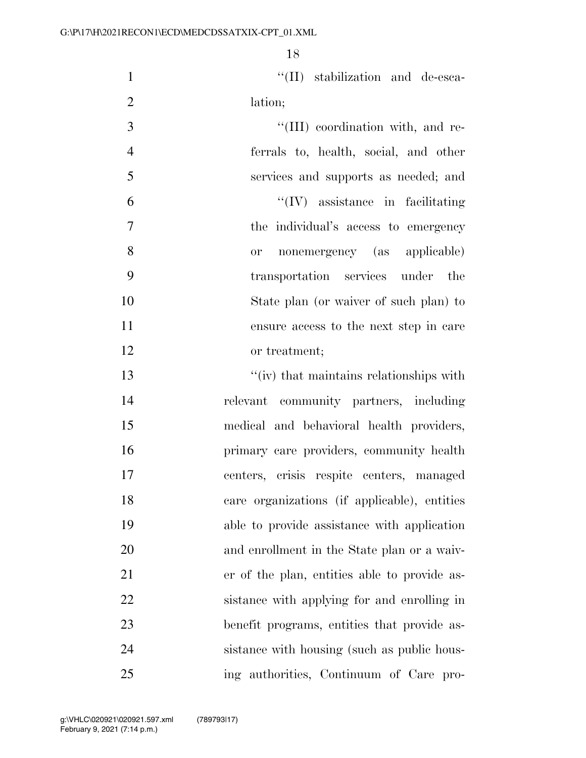1  $\text{``(II)}$  stabilization and de-esca-lation;

 $\frac{1}{2}$  (III) coordination with, and re- ferrals to, health, social, and other services and supports as needed; and ''(IV) assistance in facilitating the individual's access to emergency or nonemergency (as applicable) transportation services under the State plan (or waiver of such plan) to ensure access to the next step in care or treatment;

 ''(iv) that maintains relationships with relevant community partners, including medical and behavioral health providers, primary care providers, community health centers, crisis respite centers, managed care organizations (if applicable), entities able to provide assistance with application and enrollment in the State plan or a waiv- er of the plan, entities able to provide as- sistance with applying for and enrolling in benefit programs, entities that provide as-24 sistance with housing (such as public hous-ing authorities, Continuum of Care pro-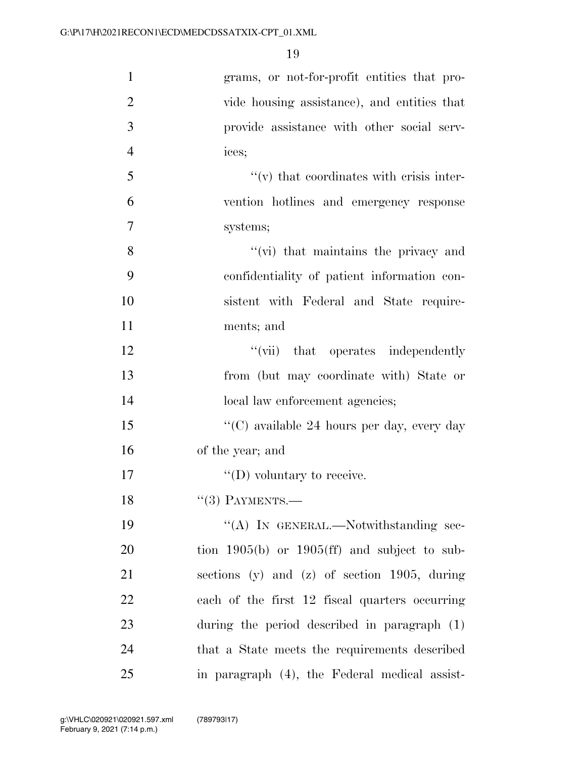| $\mathbf{1}$   | grams, or not-for-profit entities that pro-      |
|----------------|--------------------------------------------------|
| $\overline{2}$ | vide housing assistance), and entities that      |
| 3              | provide assistance with other social serv-       |
| $\overline{4}$ | ices;                                            |
| 5              | $``(v)$ that coordinates with crisis inter-      |
| 6              | vention hotlines and emergency response          |
| 7              | systems;                                         |
| 8              | $\lq\lq$ (vi) that maintains the privacy and     |
| 9              | confidentiality of patient information con-      |
| 10             | sistent with Federal and State require-          |
| 11             | ments; and                                       |
| 12             | "(vii) that operates independently               |
| 13             | from (but may coordinate with) State or          |
| 14             | local law enforcement agencies;                  |
| 15             | "(C) available 24 hours per day, every day       |
| 16             | of the year; and                                 |
| 17             | $\lq\lq$ (D) voluntary to receive.               |
| 18             | $``(3)$ PAYMENTS.—                               |
| 19             | "(A) IN GENERAL.—Notwithstanding sec-            |
| 20             | tion $1905(b)$ or $1905(ff)$ and subject to sub- |
| 21             | sections (y) and (z) of section $1905$ , during  |
| 22             | each of the first 12 fiscal quarters occurring   |
| 23             | during the period described in paragraph (1)     |
| 24             | that a State meets the requirements described    |
| 25             | in paragraph (4), the Federal medical assist-    |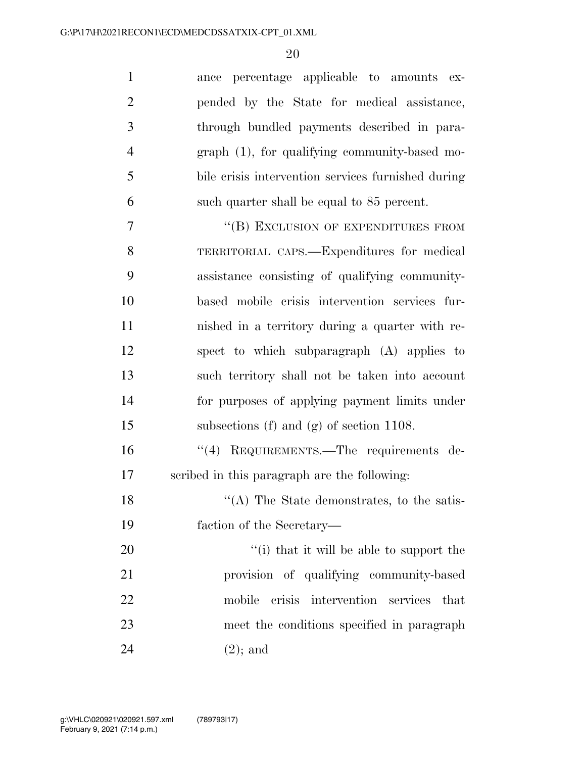| $\mathbf{1}$   | ance percentage applicable to amounts ex-          |
|----------------|----------------------------------------------------|
| $\overline{2}$ | pended by the State for medical assistance,        |
| 3              | through bundled payments described in para-        |
| $\overline{4}$ | $graph(1)$ , for qualifying community-based mo-    |
| 5              | bile crisis intervention services furnished during |
| 6              | such quarter shall be equal to 85 percent.         |
| 7              | "(B) EXCLUSION OF EXPENDITURES FROM                |
| 8              | TERRITORIAL CAPS.—Expenditures for medical         |
| 9              | assistance consisting of qualifying community-     |
| 10             | based mobile crisis intervention services fur-     |
| 11             | nished in a territory during a quarter with re-    |
| 12             | spect to which subparagraph (A) applies to         |
| 13             | such territory shall not be taken into account     |
| 14             | for purposes of applying payment limits under      |
| 15             | subsections (f) and (g) of section $1108$ .        |
| 16             | "(4) REQUIREMENTS.—The requirements de-            |
| 17             | scribed in this paragraph are the following:       |
| 18             | $\cdot$ (A) The State demonstrates, to the satis-  |
| 19             | faction of the Secretary—                          |
| 20             | "(i) that it will be able to support the           |
| 21             | provision of qualifying community-based            |
| 22             | mobile crisis intervention services that           |
| 23             | meet the conditions specified in paragraph         |
| 24             | $(2)$ ; and                                        |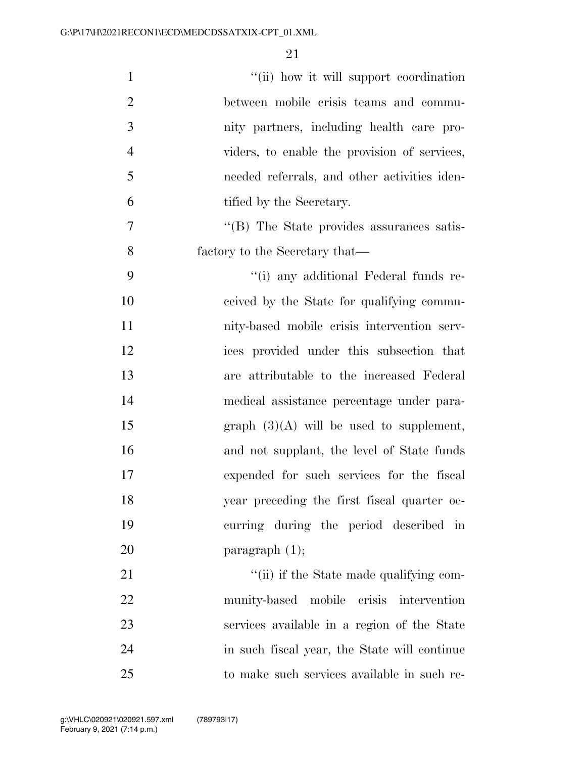| $\mathbf{1}$   | "(ii) how it will support coordination       |
|----------------|----------------------------------------------|
| $\overline{2}$ | between mobile crisis teams and commu-       |
| 3              | nity partners, including health care pro-    |
| $\overline{4}$ | viders, to enable the provision of services, |
| 5              | needed referrals, and other activities iden- |
| 6              | tified by the Secretary.                     |
| 7              | "(B) The State provides assurances satis-    |
| 8              | factory to the Secretary that—               |
| 9              | "(i) any additional Federal funds re-        |
| 10             | ceived by the State for qualifying commu-    |
| 11             | nity-based mobile crisis intervention serv-  |
| 12             | ices provided under this subsection that     |
| 13             | are attributable to the increased Federal    |
| 14             | medical assistance percentage under para-    |
| 15             | graph $(3)(A)$ will be used to supplement,   |
| 16             | and not supplant, the level of State funds   |
| 17             | expended for such services for the fiscal    |
| 18             | year preceding the first fiscal quarter oc-  |
| 19             | curring during the period described in       |
| 20             | paragraph $(1)$ ;                            |
| 21             | "(ii) if the State made qualifying com-      |
| 22             | munity-based mobile crisis intervention      |
| 23             | services available in a region of the State  |
| 24             | in such fiscal year, the State will continue |
| 25             | to make such services available in such re-  |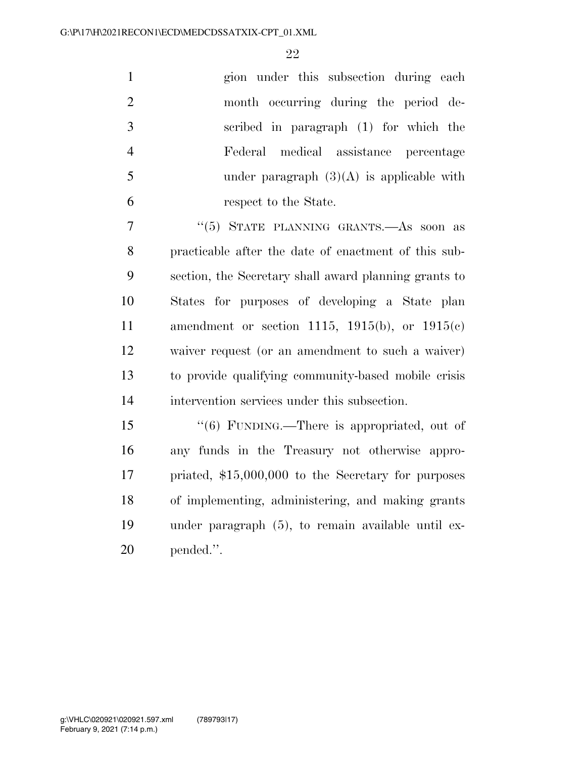|                | gion under this subsection during each      |
|----------------|---------------------------------------------|
| 2              | month occurring during the period de-       |
| -3             | scribed in paragraph (1) for which the      |
| $\overline{4}$ | Federal medical assistance percentage       |
| -5             | under paragraph $(3)(A)$ is applicable with |
| 6              | respect to the State.                       |

 ''(5) STATE PLANNING GRANTS.—As soon as practicable after the date of enactment of this sub- section, the Secretary shall award planning grants to States for purposes of developing a State plan amendment or section 1115, 1915(b), or 1915(c) waiver request (or an amendment to such a waiver) to provide qualifying community-based mobile crisis intervention services under this subsection.

 ''(6) FUNDING.—There is appropriated, out of any funds in the Treasury not otherwise appro- priated, \$15,000,000 to the Secretary for purposes of implementing, administering, and making grants under paragraph (5), to remain available until ex-pended.''.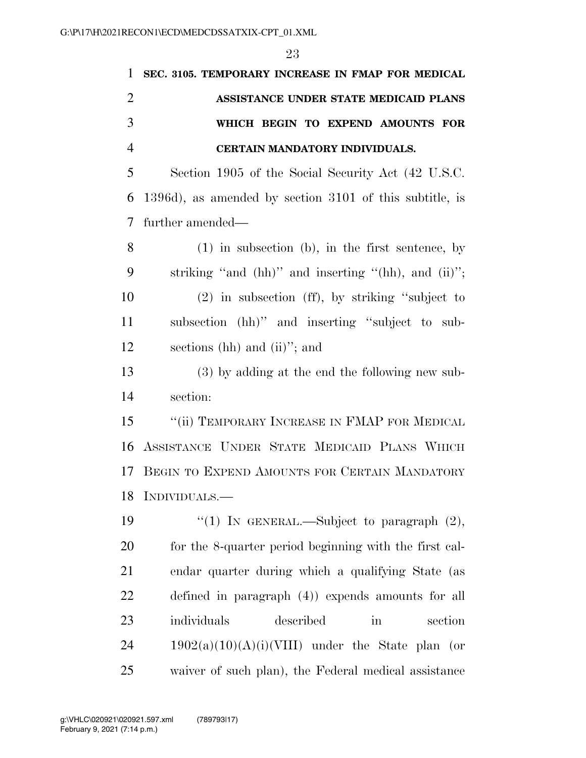| $\mathbf{1}$   | SEC. 3105. TEMPORARY INCREASE IN FMAP FOR MEDICAL             |
|----------------|---------------------------------------------------------------|
| $\overline{2}$ | ASSISTANCE UNDER STATE MEDICAID PLANS                         |
| 3              | WHICH BEGIN TO EXPEND AMOUNTS FOR                             |
| $\overline{4}$ | CERTAIN MANDATORY INDIVIDUALS.                                |
| 5              | Section 1905 of the Social Security Act (42 U.S.C.            |
| 6              | 1396d), as amended by section 3101 of this subtitle, is       |
| 7              | further amended—                                              |
| 8              | $(1)$ in subsection $(b)$ , in the first sentence, by         |
| 9              | striking "and $(hh)$ " and inserting " $(hh)$ , and $(ii)$ "; |
| 10             | $(2)$ in subsection (ff), by striking "subject to             |
| 11             | subsection (hh)" and inserting "subject to sub-               |
| 12             | sections (hh) and (ii)"; and                                  |
| 13             | (3) by adding at the end the following new sub-               |
| 14             | section:                                                      |
| 15             | "(ii) TEMPORARY INCREASE IN FMAP FOR MEDICAL                  |
| 16             | ASSISTANCE UNDER STATE MEDICAID PLANS WHICH                   |
| 17             | BEGIN TO EXPEND AMOUNTS FOR CERTAIN MANDATORY                 |
| 18             | INDIVIDUALS.                                                  |
| 19             | "(1) IN GENERAL.—Subject to paragraph $(2)$ ,                 |
| 20             | for the 8-quarter period beginning with the first cal-        |
| 21             | endar quarter during which a qualifying State (as             |
| 22             | defined in paragraph (4)) expends amounts for all             |
| 23             | individuals<br>described<br>section<br>in                     |
| 24             | $1902(a)(10)(A)(i)(VIII)$ under the State plan (or            |
| 25             | waiver of such plan), the Federal medical assistance          |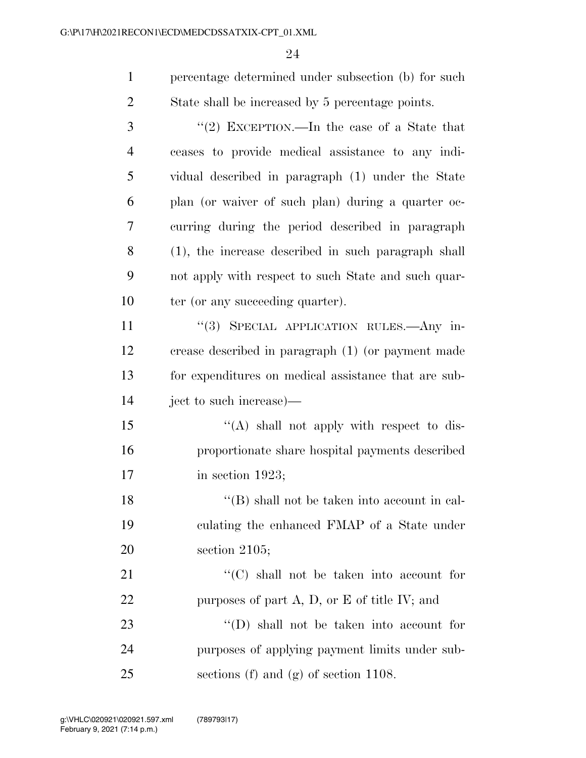| $\mathbf{1}$   | percentage determined under subsection (b) for such  |
|----------------|------------------------------------------------------|
| $\overline{2}$ | State shall be increased by 5 percentage points.     |
| 3              | "(2) EXCEPTION.—In the case of a State that          |
| 4              | ceases to provide medical assistance to any indi-    |
| 5              | vidual described in paragraph (1) under the State    |
| 6              | plan (or waiver of such plan) during a quarter oc-   |
| 7              | curring during the period described in paragraph     |
| 8              | (1), the increase described in such paragraph shall  |
| 9              | not apply with respect to such State and such quar-  |
| 10             | ter (or any succeeding quarter).                     |
| 11             | "(3) SPECIAL APPLICATION RULES.—Any in-              |
| 12             | crease described in paragraph (1) (or payment made   |
| 13             | for expenditures on medical assistance that are sub- |
| 14             | ject to such increase)—                              |
| 15             | "(A) shall not apply with respect to dis-            |
| 16             | proportionate share hospital payments described      |
| 17             | in section $1923;$                                   |
| 18             | $\lq\lq$ shall not be taken into account in cal-     |
| 19             | culating the enhanced FMAP of a State under          |
| 20             | section $2105$ ;                                     |
| 21             | "(C) shall not be taken into account for             |
| 22             | purposes of part $A$ , $D$ , or $E$ of title IV; and |
| 23             | $\lq\lq$ (D) shall not be taken into account for     |
| 24             | purposes of applying payment limits under sub-       |
| 25             | sections (f) and (g) of section $1108$ .             |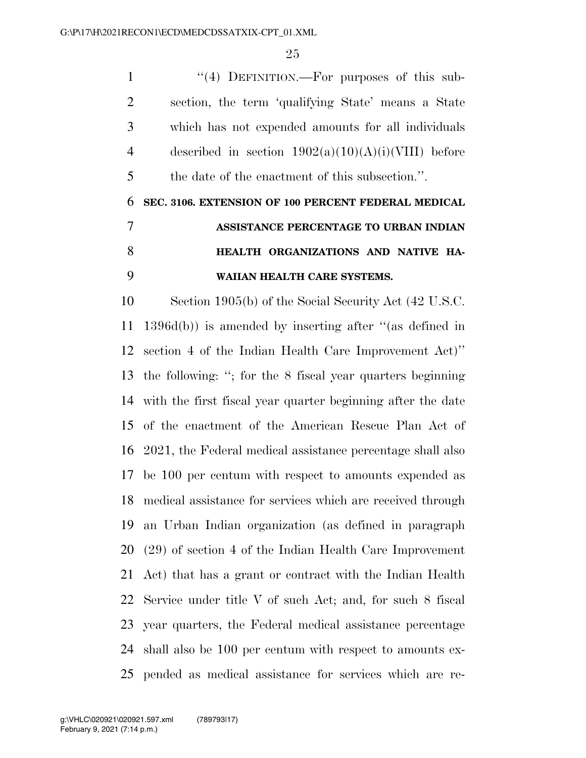1 "(4) DEFINITION.—For purposes of this sub- section, the term 'qualifying State' means a State which has not expended amounts for all individuals 4 described in section  $1902(a)(10)(A)(i)(VIII)$  before the date of the enactment of this subsection.''.

# **SEC. 3106. EXTENSION OF 100 PERCENT FEDERAL MEDICAL ASSISTANCE PERCENTAGE TO URBAN INDIAN HEALTH ORGANIZATIONS AND NATIVE HA-WAIIAN HEALTH CARE SYSTEMS.**

 Section 1905(b) of the Social Security Act (42 U.S.C. 1396d(b)) is amended by inserting after ''(as defined in section 4 of the Indian Health Care Improvement Act)'' the following: ''; for the 8 fiscal year quarters beginning with the first fiscal year quarter beginning after the date of the enactment of the American Rescue Plan Act of 2021, the Federal medical assistance percentage shall also be 100 per centum with respect to amounts expended as medical assistance for services which are received through an Urban Indian organization (as defined in paragraph (29) of section 4 of the Indian Health Care Improvement Act) that has a grant or contract with the Indian Health Service under title V of such Act; and, for such 8 fiscal year quarters, the Federal medical assistance percentage shall also be 100 per centum with respect to amounts ex-pended as medical assistance for services which are re-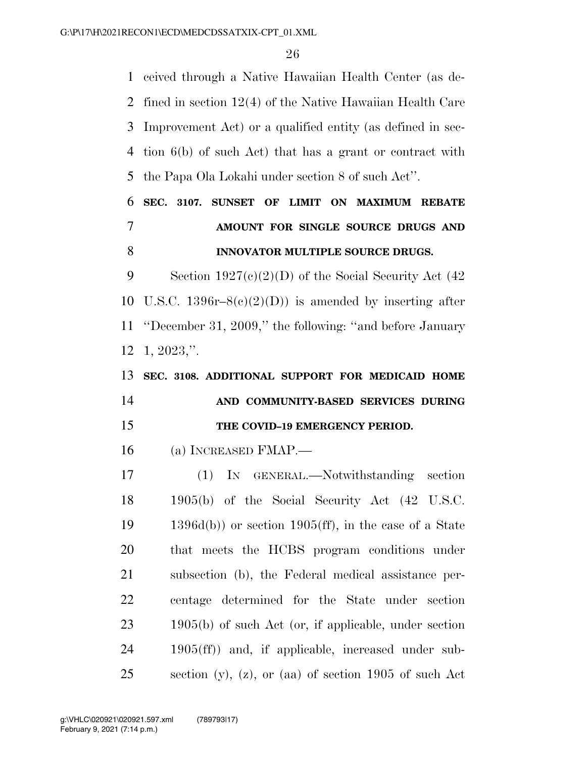ceived through a Native Hawaiian Health Center (as de- fined in section 12(4) of the Native Hawaiian Health Care Improvement Act) or a qualified entity (as defined in sec- tion 6(b) of such Act) that has a grant or contract with the Papa Ola Lokahi under section 8 of such Act''.

## **SEC. 3107. SUNSET OF LIMIT ON MAXIMUM REBATE AMOUNT FOR SINGLE SOURCE DRUGS AND INNOVATOR MULTIPLE SOURCE DRUGS.**

9 Section  $1927(c)(2)(D)$  of the Social Security Act (42 10 U.S.C.  $1396r-8(c)(2)(D)$  is amended by inserting after ''December 31, 2009,'' the following: ''and before January 1, 2023,''.

## **SEC. 3108. ADDITIONAL SUPPORT FOR MEDICAID HOME AND COMMUNITY-BASED SERVICES DURING THE COVID–19 EMERGENCY PERIOD.**

(a) INCREASED FMAP.—

 (1) IN GENERAL.—Notwithstanding section 1905(b) of the Social Security Act (42 U.S.C. 1396d(b)) or section 1905(ff), in the case of a State that meets the HCBS program conditions under subsection (b), the Federal medical assistance per- centage determined for the State under section 1905(b) of such Act (or, if applicable, under section 1905(ff)) and, if applicable, increased under sub-section (y), (z), or (aa) of section 1905 of such Act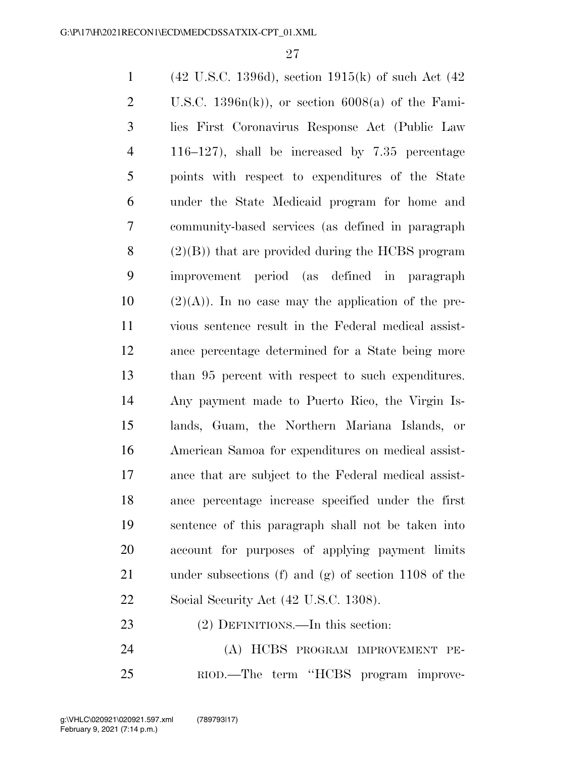| $\mathbf{1}$   | $(42 \text{ U.S.C. } 1396d)$ , section $1915(k)$ of such Act $(42 \text{ V.S.C. } 1396d)$ , |
|----------------|---------------------------------------------------------------------------------------------|
| $\overline{2}$ | U.S.C. $1396n(k)$ , or section $6008(a)$ of the Fami-                                       |
| 3              | lies First Coronavirus Response Act (Public Law                                             |
| $\overline{4}$ | $116-127$ , shall be increased by $7.35$ percentage                                         |
| 5              | points with respect to expenditures of the State                                            |
| 6              | under the State Medicaid program for home and                                               |
| 7              | community-based services (as defined in paragraph                                           |
| 8              | $(2)(B)$ that are provided during the HCBS program                                          |
| 9              | improvement period (as defined in paragraph                                                 |
| 10             | $(2)(A)$ ). In no case may the application of the pre-                                      |
| 11             | vious sentence result in the Federal medical assist-                                        |
| 12             | ance percentage determined for a State being more                                           |
| 13             | than 95 percent with respect to such expenditures.                                          |
| 14             | Any payment made to Puerto Rico, the Virgin Is-                                             |
| 15             | lands, Guam, the Northern Mariana Islands, or                                               |
| 16             | American Samoa for expenditures on medical assist-                                          |
| 17             | ance that are subject to the Federal medical assist-                                        |
| 18             | ance percentage increase specified under the first                                          |
| 19             | sentence of this paragraph shall not be taken into                                          |
| 20             | account for purposes of applying payment limits                                             |
| 21             | under subsections (f) and (g) of section $1108$ of the                                      |
| 22             | Social Security Act (42 U.S.C. 1308).                                                       |
| 23             | (2) DEFINITIONS.—In this section:                                                           |
|                |                                                                                             |

 (A) HCBS PROGRAM IMPROVEMENT PE-RIOD.—The term ''HCBS program improve-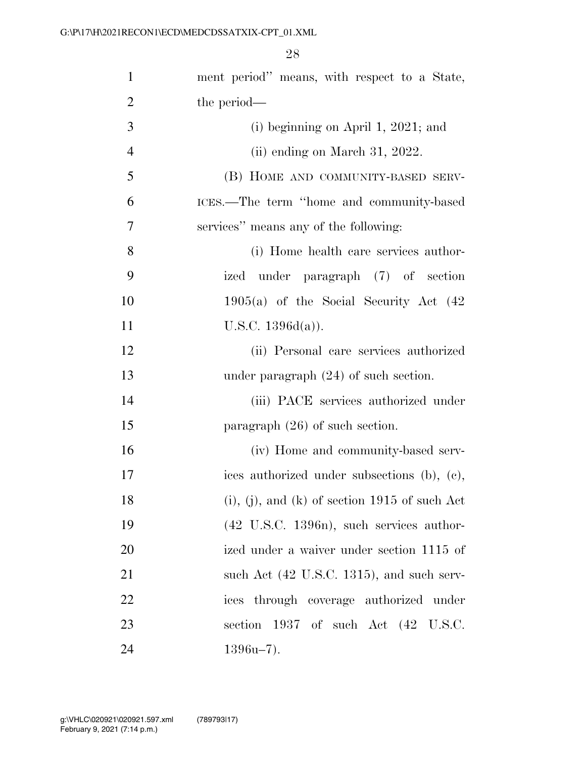| $\mathbf{1}$   | ment period" means, with respect to a State,          |
|----------------|-------------------------------------------------------|
| $\overline{2}$ | the period—                                           |
| 3              | (i) beginning on April 1, 2021; and                   |
| $\overline{4}$ | $(ii)$ ending on March 31, 2022.                      |
| 5              | (B) HOME AND COMMUNITY-BASED SERV-                    |
| 6              | ICES.—The term "home and community-based              |
| 7              | services" means any of the following:                 |
| 8              | (i) Home health care services author-                 |
| 9              | ized under paragraph (7) of section                   |
| 10             | $1905(a)$ of the Social Security Act $(42)$           |
| 11             | U.S.C. $1396d(a)$ ).                                  |
| 12             | (ii) Personal care services authorized                |
| 13             | under paragraph $(24)$ of such section.               |
| 14             | (iii) PACE services authorized under                  |
| 15             | paragraph $(26)$ of such section.                     |
| 16             | (iv) Home and community-based serv-                   |
| 17             | ices authorized under subsections (b), (c),           |
| 18             | $(i)$ , $(j)$ , and $(k)$ of section 1915 of such Act |
| 19             | $(42 \text{ U.S.C. } 1396n)$ , such services author-  |
| 20             | ized under a waiver under section 1115 of             |
| 21             | such Act (42 U.S.C. 1315), and such serv-             |
| 22             | ices through coverage authorized under                |
| 23             | section 1937 of such Act (42 U.S.C.                   |
| 24             | $1396u-7$ ).                                          |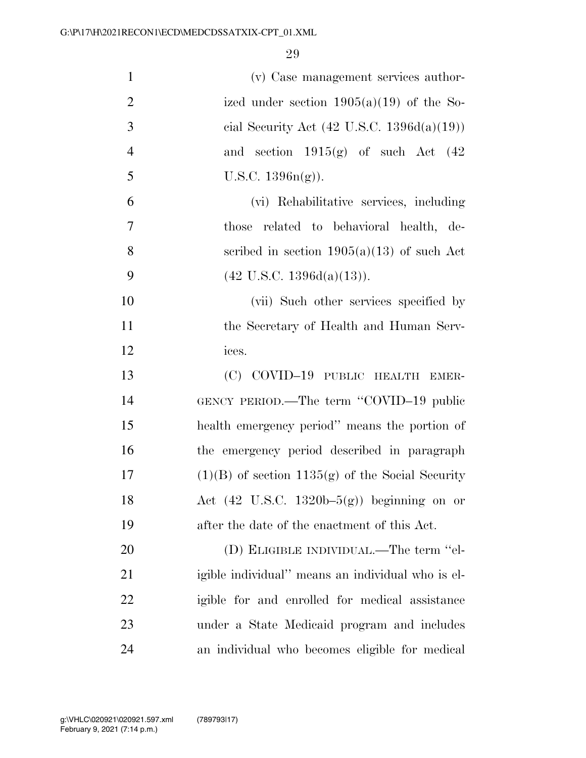| $\mathbf{1}$   | (v) Case management services author-                  |
|----------------|-------------------------------------------------------|
| $\overline{2}$ | ized under section $1905(a)(19)$ of the So-           |
| 3              | cial Security Act $(42 \text{ U.S.C. } 1396d(a)(19))$ |
| $\overline{4}$ | and section $1915(g)$ of such Act $(42)$              |
| 5              | U.S.C. $1396n(g)$ ).                                  |
| 6              | (vi) Rehabilitative services, including               |
| $\tau$         | those related to behavioral health, de-               |
| 8              | scribed in section $1905(a)(13)$ of such Act          |
| 9              | $(42 \text{ U.S.C. } 1396d(a)(13)).$                  |
| 10             | (vii) Such other services specified by                |
| 11             | the Secretary of Health and Human Serv-               |
| 12             | ices.                                                 |
| 13             | (C) COVID-19 PUBLIC HEALTH EMER-                      |
| 14             | GENCY PERIOD.—The term "COVID-19 public               |
| 15             | health emergency period" means the portion of         |
| 16             | the emergency period described in paragraph           |
| $17\,$         | $(1)(B)$ of section 1135(g) of the Social Security    |
| 18             | Act $(42 \text{ U.S.C. } 1320b-5(g))$ beginning on or |
| 19             | after the date of the enactment of this Act.          |
| 20             | (D) ELIGIBLE INDIVIDUAL.—The term "el-                |
| 21             | igible individual" means an individual who is el-     |
| 22             | igible for and enrolled for medical assistance        |
| 23             | under a State Medicaid program and includes           |
| 24             | an individual who becomes eligible for medical        |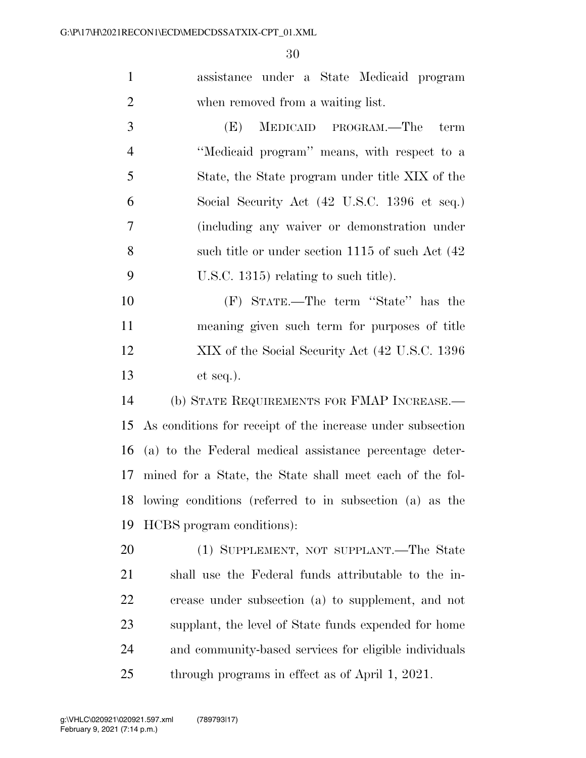assistance under a State Medicaid program when removed from a waiting list.

 (E) MEDICAID PROGRAM.—The term ''Medicaid program'' means, with respect to a State, the State program under title XIX of the Social Security Act (42 U.S.C. 1396 et seq.) (including any waiver or demonstration under such title or under section 1115 of such Act (42 U.S.C. 1315) relating to such title).

 (F) STATE.—The term ''State'' has the meaning given such term for purposes of title XIX of the Social Security Act (42 U.S.C. 1396 et seq.).

 (b) STATE REQUIREMENTS FOR FMAP INCREASE.— As conditions for receipt of the increase under subsection (a) to the Federal medical assistance percentage deter- mined for a State, the State shall meet each of the fol- lowing conditions (referred to in subsection (a) as the HCBS program conditions):

 (1) SUPPLEMENT, NOT SUPPLANT.—The State shall use the Federal funds attributable to the in- crease under subsection (a) to supplement, and not supplant, the level of State funds expended for home and community-based services for eligible individuals through programs in effect as of April 1, 2021.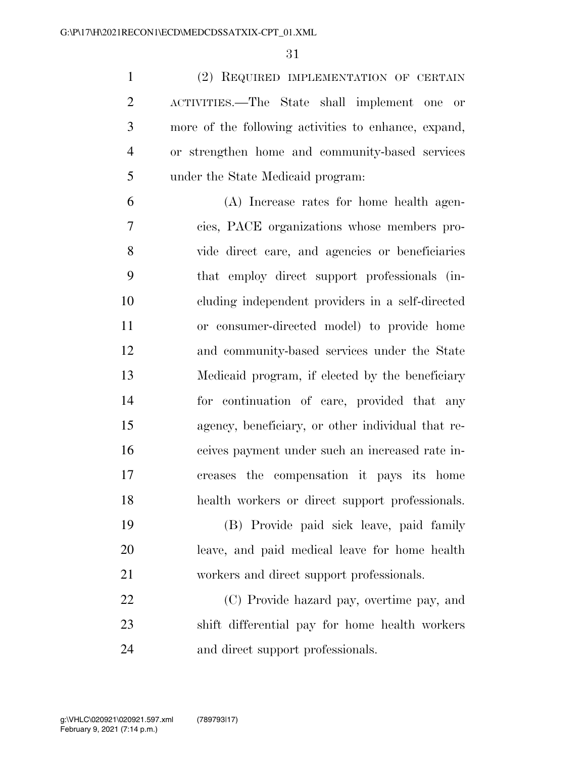(2) REQUIRED IMPLEMENTATION OF CERTAIN ACTIVITIES.—The State shall implement one or more of the following activities to enhance, expand, or strengthen home and community-based services under the State Medicaid program:

 (A) Increase rates for home health agen- cies, PACE organizations whose members pro- vide direct care, and agencies or beneficiaries that employ direct support professionals (in- cluding independent providers in a self-directed or consumer-directed model) to provide home and community-based services under the State Medicaid program, if elected by the beneficiary for continuation of care, provided that any agency, beneficiary, or other individual that re- ceives payment under such an increased rate in- creases the compensation it pays its home health workers or direct support professionals.

 (B) Provide paid sick leave, paid family leave, and paid medical leave for home health workers and direct support professionals.

 (C) Provide hazard pay, overtime pay, and shift differential pay for home health workers and direct support professionals.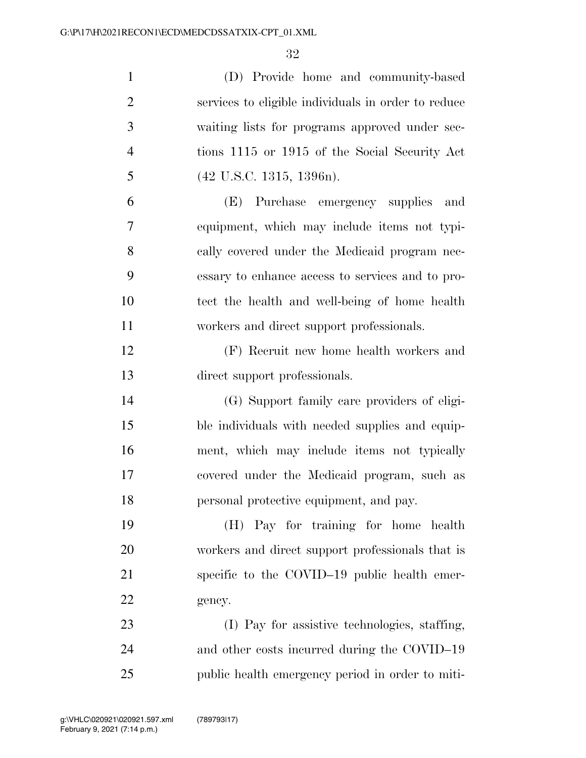| $\mathbf{1}$   | (D) Provide home and community-based                |
|----------------|-----------------------------------------------------|
| $\overline{2}$ | services to eligible individuals in order to reduce |
| 3              | waiting lists for programs approved under sec-      |
| $\overline{4}$ | tions 1115 or 1915 of the Social Security Act       |
| 5              | $(42 \text{ U.S.C. } 1315, 1396n).$                 |
| 6              | (E) Purchase emergency supplies<br>and              |
| 7              | equipment, which may include items not typi-        |
| 8              | cally covered under the Medicaid program nec-       |
| 9              | essary to enhance access to services and to pro-    |
| 10             | tect the health and well-being of home health       |
| 11             | workers and direct support professionals.           |
| 12             | (F) Recruit new home health workers and             |
| 13             | direct support professionals.                       |
| 14             | (G) Support family care providers of eligi-         |
| 15             | ble individuals with needed supplies and equip-     |
| 16             | ment, which may include items not typically         |
| 17             | covered under the Medicaid program, such as         |
| 18             | personal protective equipment, and pay.             |
| 19             | (H) Pay for training for home health                |
| 20             | workers and direct support professionals that is    |
| 21             | specific to the COVID-19 public health emer-        |
| 22             | gency.                                              |
| 23             | (I) Pay for assistive technologies, staffing,       |
| 24             | and other costs incurred during the COVID-19        |
| 25             | public health emergency period in order to miti-    |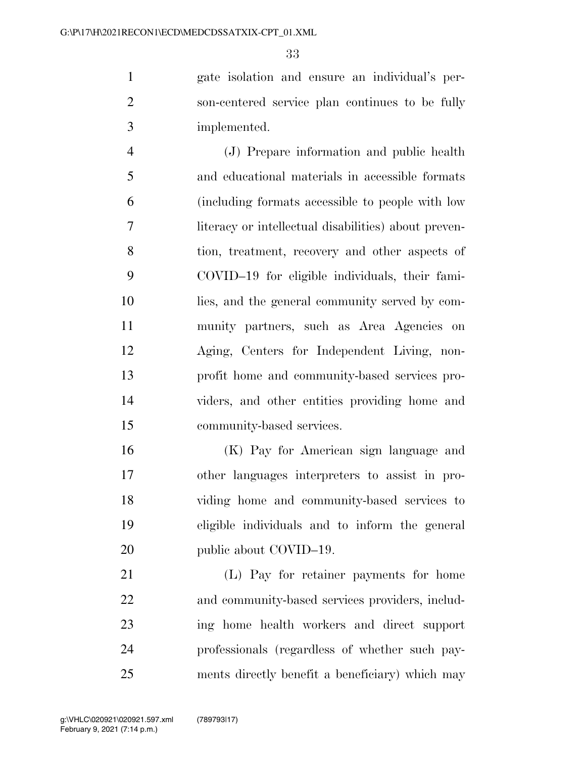gate isolation and ensure an individual's per- son-centered service plan continues to be fully implemented.

 (J) Prepare information and public health and educational materials in accessible formats (including formats accessible to people with low literacy or intellectual disabilities) about preven- tion, treatment, recovery and other aspects of COVID–19 for eligible individuals, their fami- lies, and the general community served by com- munity partners, such as Area Agencies on Aging, Centers for Independent Living, non- profit home and community-based services pro- viders, and other entities providing home and community-based services.

 (K) Pay for American sign language and other languages interpreters to assist in pro- viding home and community-based services to eligible individuals and to inform the general 20 public about COVID–19.

 (L) Pay for retainer payments for home and community-based services providers, includ- ing home health workers and direct support professionals (regardless of whether such pay-ments directly benefit a beneficiary) which may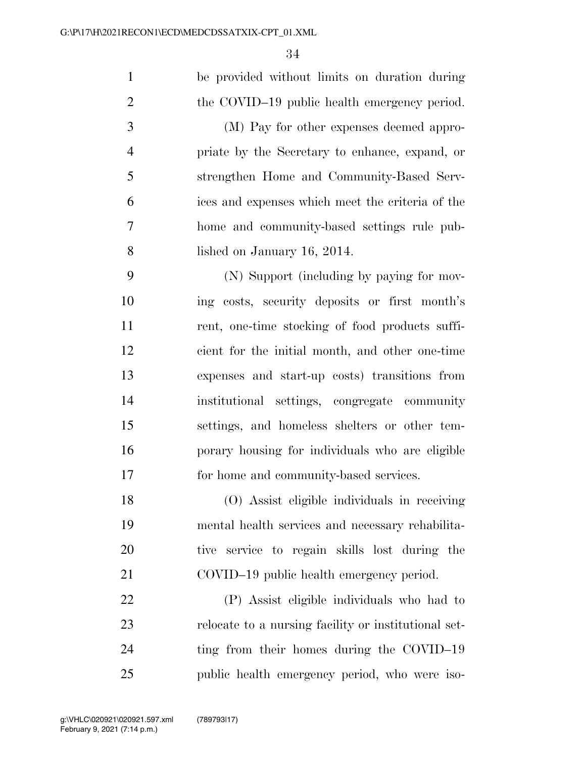| $\mathbf{1}$   | be provided without limits on duration during        |
|----------------|------------------------------------------------------|
| $\overline{2}$ | the COVID-19 public health emergency period.         |
| 3              | (M) Pay for other expenses deemed appro-             |
| $\overline{4}$ | priate by the Secretary to enhance, expand, or       |
| 5              | strengthen Home and Community-Based Serv-            |
| 6              | ices and expenses which meet the criteria of the     |
| $\tau$         | home and community-based settings rule pub-          |
| 8              | lished on January 16, 2014.                          |
| 9              | (N) Support (including by paying for mov-            |
| 10             | ing costs, security deposits or first month's        |
| 11             | rent, one-time stocking of food products suffi-      |
| 12             | cient for the initial month, and other one-time      |
| 13             | expenses and start-up costs) transitions from        |
| 14             | institutional settings, congregate community         |
| 15             | settings, and homeless shelters or other tem-        |
| 16             | porary housing for individuals who are eligible      |
| 17             | for home and community-based services.               |
| 18             | (O) Assist eligible individuals in receiving         |
| 19             | mental health services and necessary rehabilita-     |
| 20             | tive service to regain skills lost during the        |
| 21             | COVID-19 public health emergency period.             |
| 22             | (P) Assist eligible individuals who had to           |
| 23             | relocate to a nursing facility or institutional set- |
| 24             | ting from their homes during the COVID-19            |
| 25             | public health emergency period, who were iso-        |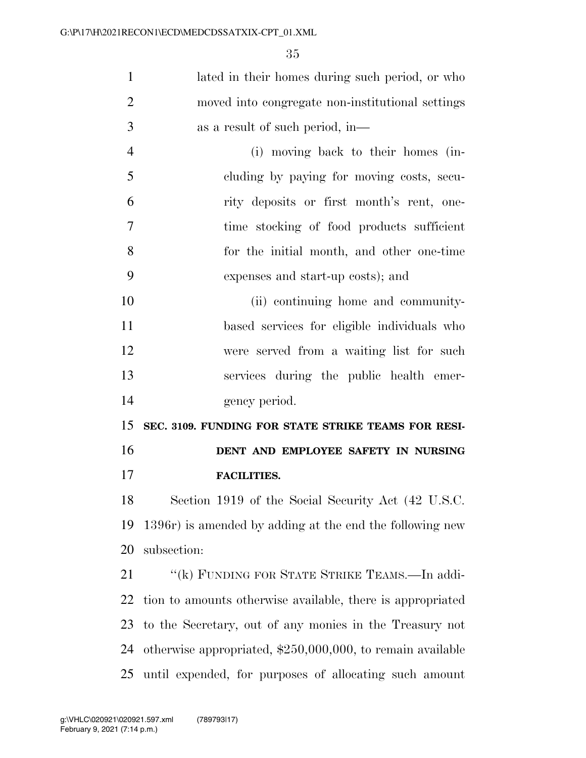| $\mathbf{1}$   | lated in their homes during such period, or who              |
|----------------|--------------------------------------------------------------|
| $\overline{2}$ | moved into congregate non-institutional settings             |
| 3              | as a result of such period, in—                              |
| $\overline{4}$ | (i) moving back to their homes (in-                          |
| 5              | cluding by paying for moving costs, secu-                    |
| 6              | rity deposits or first month's rent, one-                    |
| 7              | time stocking of food products sufficient                    |
| 8              | for the initial month, and other one-time                    |
| 9              | expenses and start-up costs); and                            |
| 10             | (ii) continuing home and community-                          |
| 11             | based services for eligible individuals who                  |
| 12             | were served from a waiting list for such                     |
| 13             | services during the public health emer-                      |
| 14             | gency period.                                                |
| 15             | SEC. 3109. FUNDING FOR STATE STRIKE TEAMS FOR RESI-          |
| 16             | DENT AND EMPLOYEE SAFETY IN NURSING                          |
| 17             | <b>FACILITIES.</b>                                           |
| 18             | Section 1919 of the Social Security Act (42 U.S.C.           |
| 19             | 1396r) is amended by adding at the end the following new     |
| 20             | subsection:                                                  |
| 21             | "(k) FUNDING FOR STATE STRIKE TEAMS.—In addi-                |
| 22             | tion to amounts otherwise available, there is appropriated   |
| 23             | to the Secretary, out of any monies in the Treasury not      |
| 24             | otherwise appropriated, $$250,000,000$ , to remain available |
| 25             | until expended, for purposes of allocating such amount       |